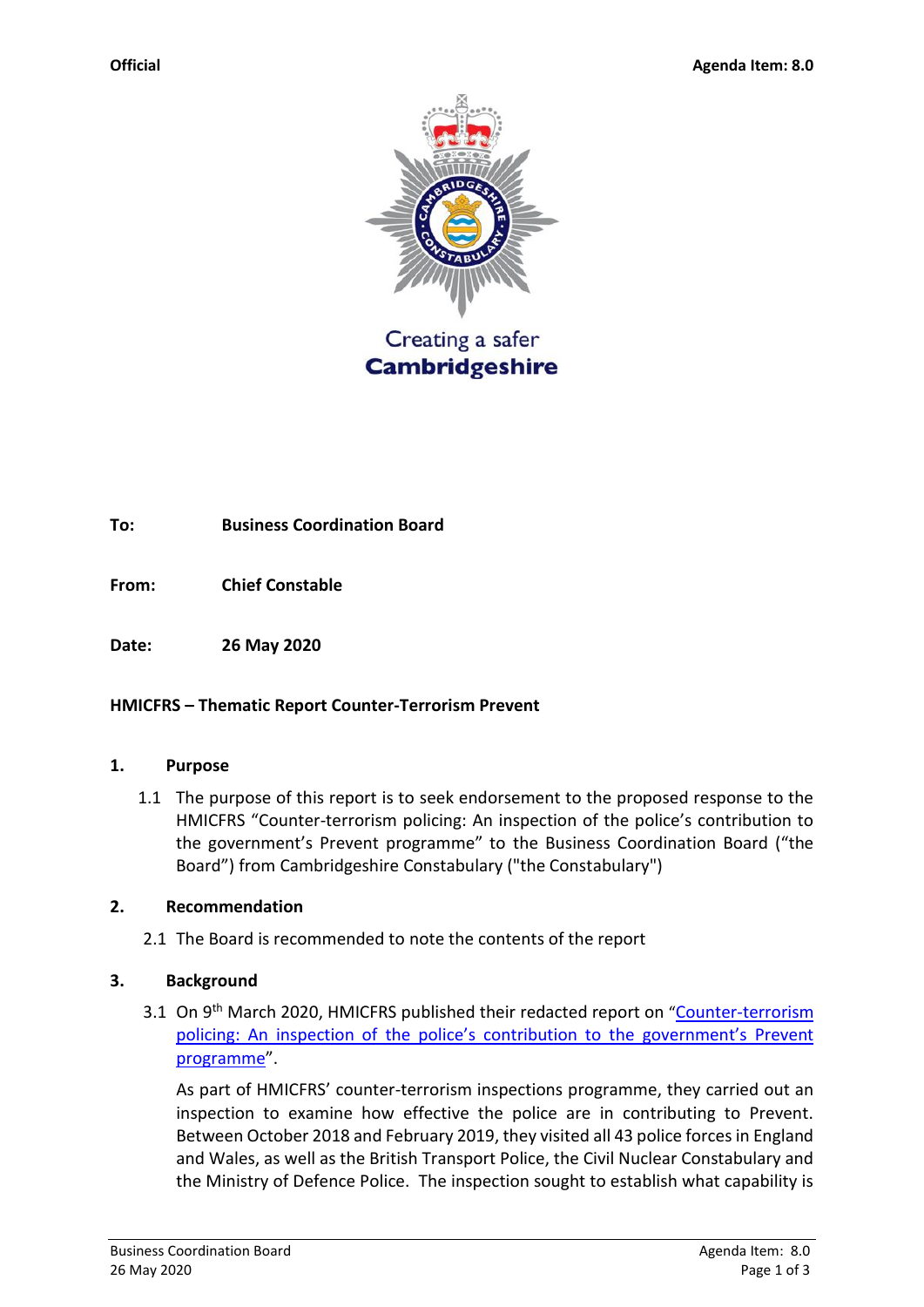

**Cambridgeshire** 

### **To: Business Coordination Board**

**From: Chief Constable** 

**Date: 26 May 2020**

### **HMICFRS – Thematic Report Counter-Terrorism Prevent**

#### **1. Purpose**

1.1 The purpose of this report is to seek endorsement to the proposed response to the HMICFRS "Counter-terrorism policing: An inspection of the police's contribution to the government's Prevent programme" to the Business Coordination Board ("the Board") from Cambridgeshire Constabulary ("the Constabulary")

### **2. Recommendation**

2.1 The Board is recommended to note the contents of the report

### **3. Background**

3.1 On 9<sup>th</sup> March 2020, HMICFRS published their redacted report on "Counter-terrorism policing: An inspection of the police's contribution to the government's Prevent [programme](https://www.justiceinspectorates.gov.uk/hmicfrs/wp-content/uploads/redacted-counter-terrorism-policing-inspection-police-contribution-government-prevent-programme.pdf)".

As part of HMICFRS' counter-terrorism inspections programme, they carried out an inspection to examine how effective the police are in contributing to Prevent. Between October 2018 and February 2019, they visited all 43 police forces in England and Wales, as well as the British Transport Police, the Civil Nuclear Constabulary and the Ministry of Defence Police. The inspection sought to establish what capability is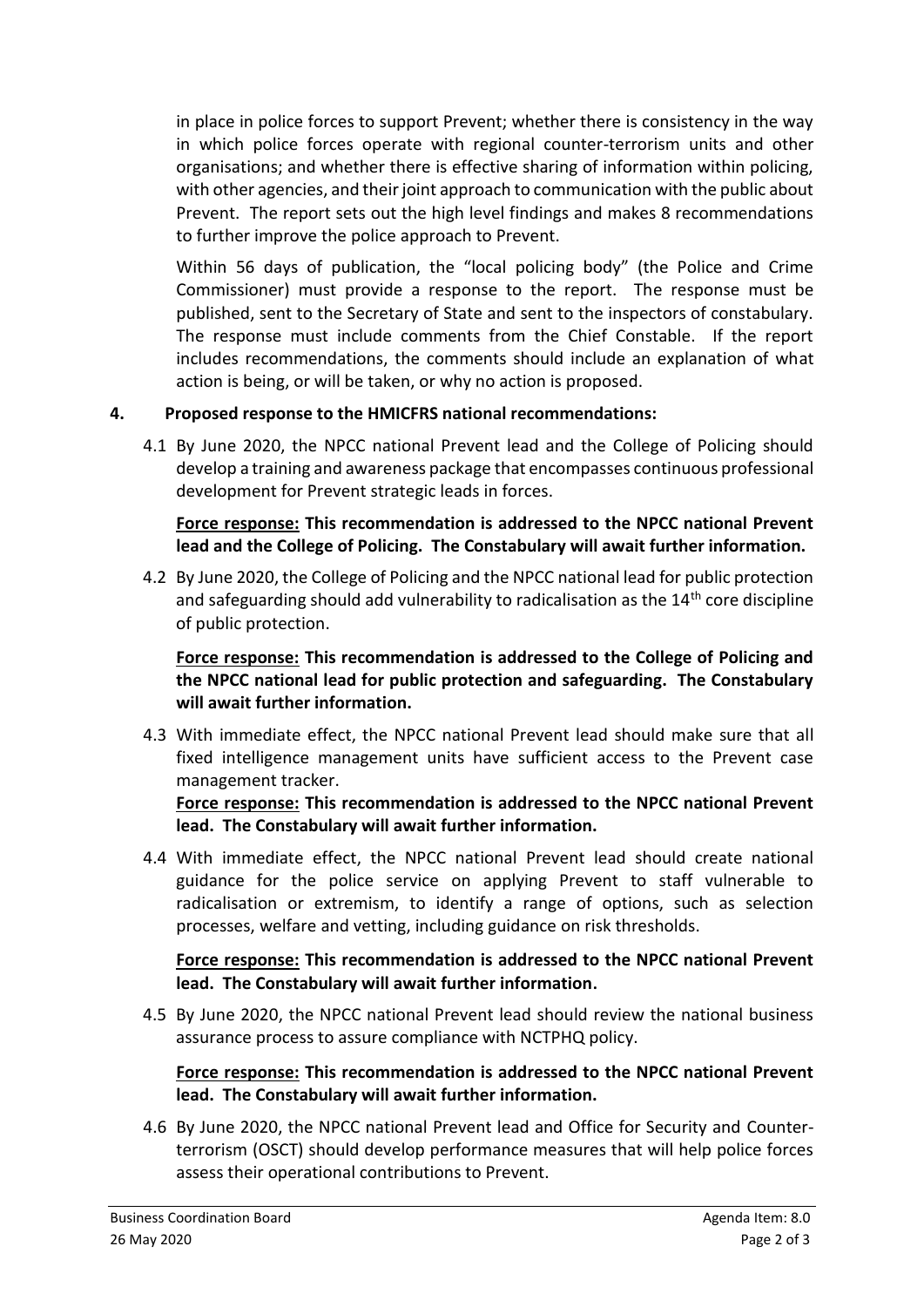in place in police forces to support Prevent; whether there is consistency in the way in which police forces operate with regional counter-terrorism units and other organisations; and whether there is effective sharing of information within policing, with other agencies, and their joint approach to communication with the public about Prevent. The report sets out the high level findings and makes 8 recommendations to further improve the police approach to Prevent.

Within 56 days of publication, the "local policing body" (the Police and Crime Commissioner) must provide a response to the report. The response must be published, sent to the Secretary of State and sent to the inspectors of constabulary. The response must include comments from the Chief Constable. If the report includes recommendations, the comments should include an explanation of what action is being, or will be taken, or why no action is proposed.

# **4. Proposed response to the HMICFRS national recommendations:**

4.1 By June 2020, the NPCC national Prevent lead and the College of Policing should develop a training and awareness package that encompasses continuous professional development for Prevent strategic leads in forces.

**Force response: This recommendation is addressed to the NPCC national Prevent lead and the College of Policing. The Constabulary will await further information.**

4.2 By June 2020, the College of Policing and the NPCC national lead for public protection and safeguarding should add vulnerability to radicalisation as the 14<sup>th</sup> core discipline of public protection.

**Force response: This recommendation is addressed to the College of Policing and the NPCC national lead for public protection and safeguarding. The Constabulary will await further information.**

4.3 With immediate effect, the NPCC national Prevent lead should make sure that all fixed intelligence management units have sufficient access to the Prevent case management tracker.

**Force response: This recommendation is addressed to the NPCC national Prevent lead. The Constabulary will await further information.**

4.4 With immediate effect, the NPCC national Prevent lead should create national guidance for the police service on applying Prevent to staff vulnerable to radicalisation or extremism, to identify a range of options, such as selection processes, welfare and vetting, including guidance on risk thresholds.

**Force response: This recommendation is addressed to the NPCC national Prevent lead. The Constabulary will await further information.**

4.5 By June 2020, the NPCC national Prevent lead should review the national business assurance process to assure compliance with NCTPHQ policy.

# **Force response: This recommendation is addressed to the NPCC national Prevent lead. The Constabulary will await further information.**

4.6 By June 2020, the NPCC national Prevent lead and Office for Security and Counterterrorism (OSCT) should develop performance measures that will help police forces assess their operational contributions to Prevent.